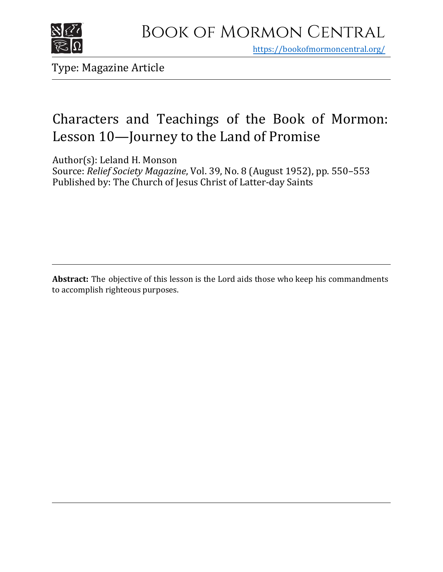

https[://bookofmormoncentral.org/](http://bookofmormoncentral.org/)

Type: Magazine Article

### Characters and Teachings of the Book of Mormon: Lesson 10—Journey to the Land of Promise

Author(s): Leland H. Monson

Source: *Relief Society Magazine*, Vol. 39, No. 8 (August 1952), pp. 550–553 Published by: The Church of Jesus Christ of Latter-day Saints

**Abstract:** The objective of this lesson is the Lord aids those who keep his commandments to accomplish righteous purposes.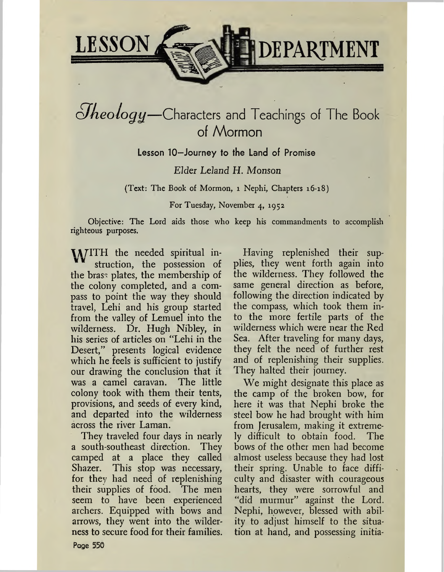

## $S$ *heology*—Characters and Teachings of The Book of Mormon

Lesson 10—Journey to the Land of Promise

### *Elder Leland H. Monson*

(Text: The Book of Mormon, <sup>1</sup> Nephi, Chapters 16-18)

For Tuesday, November 4, 1952

Objective: The Lord aids those who keep his commandments to accomplish righteous purposes.

MITH the needed spiritual instruction, the possession of the brass plates, the membership of the colony completed, and a compass to point the way they should travel, Lehi and his group started from the valley of Lemuel into the wilderness. Dr. Hugh Nibley, in his series of articles on "Lehi in the Desert," presents logical evidence which he feels is sufficient to justify our drawing the conclusion that it was a camel caravan. The little colony took with them their tents, provisions, and seeds of every kind, and departed into the wilderness across the river Laman.

They traveled four days in nearly a south-southeast direction. They camped at a place they called Shazer. This stop was necessary, for they had need of replenishing their supplies of food. The men seem to have been experienced archers. Equipped with bows and arrows, they went into the wilderness to secure food for their families.

Having replenished their supplies, they went forth again into the wilderness. They followed the same general direction as before, following the direction indicated by the compass, which took them into the more fertile parts of the wilderness which were near the Red Sea. After traveling for many days, they felt the need of further rest and of replenishing their supplies. They halted their journey.

We might designate this place as the camp of the broken bow, for here it was that Nephi broke the steel bow he had brought with him from Jerusalem, making it extremely difficult to obtain food. The bows of the other men had become almost useless because they had lost their spring. Unable to face difficulty and disaster with courageous hearts, they were sorrowful and "did murmur" against the Lord. Nephi, however, blessed with ability to adjust himself to the situation at hand, and possessing initia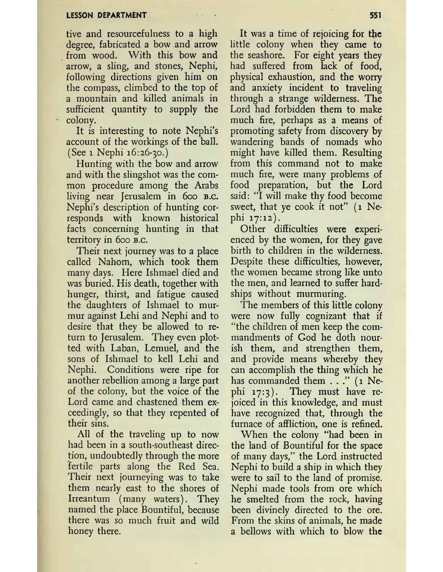tive and resourcefulness to a high degree, fabricated a bow and arrow from wood. With this bow and arrow, a sling, and stones, Nephi, following directions given him on the compass, climbed to the top of a mountain and killed animals in sufficient quantity to supply the colony.

It is interesting to note Nephi'<sup>s</sup> account of the workings of the ball. (See <sup>1</sup> Nephi 16:26-30.)

Hunting with the bow and arrow and with the slingshot was the common procedure among the Arabs living near Jerusalem in 600 B.C. Nephi's description of hunting corresponds with known historical facts concerning hunting in that territory in 600 b.c.

Their next journey was to a place called Nahom, which took them many days. Here Ishmael died and was buried. His death, together with hunger, thirst, and fatigue caused the daughters of Ishmael to murmur against Lehi and Nephi and to desire that they be allowed to return to Jerusalem. They even plotted with Laban, Lemuel, and the sons of Ishmael to kell Lehi and Nephi. Conditions were ripe for another rebellion among a large part of the colony, but the voice of the Lord came and chastened them exceedingly, so that they repented of their sins.

All of the traveling up to now had been in a south-southeast direction, undoubtedly through the more fertile parts along the Red Sea. Their next journeying was to take them nearly east to the shores of Irreantum (many waters). They named the place Bountiful, because there was so much fruit and wild honey there.

It was a time of rejoicing for the little colony when they came to the seashore. For eight years they had suffered from lack of food, physical exhaustion, and the worry and anxiety incident to traveling through a strange wilderness. The Lord had forbidden them to make much fire, perhaps as a means of promoting safety from discovery by wandering bands of nomads who might have killed them. Resulting from this command not to make much fire, were many problems of food preparation, but the Lord said: "I will make thy food become sweet, that ye cook it not" (1 Nephi 17:12).

Other difficulties were experienced by the women, for they gave birth to children in the wilderness. Despite these difficulties, however, the women became strong like unto the men, and learned to suffer hardships without murmuring.

The members of this little colony were now fully cognizant that if "the children of men keep the commandments of God he doth nourish them, and strengthen them, and provide means whereby they can accomplish the thing which he has commanded them  $\ldots$ ." (1 Nephi 17:3). They must have rejoiced in this knowledge, and must have recognized that, through the furnace of affliction, one is refined.

When the colony "had been in the land of Bountiful for the space of many days," the Lord instructed Nephi to build a ship in which they were to sail to the land of promise. Nephi made tools from ore which he smelted from the rock, having been divinely directed to the ore. From the skins of animals, he made a bellows with which to blow the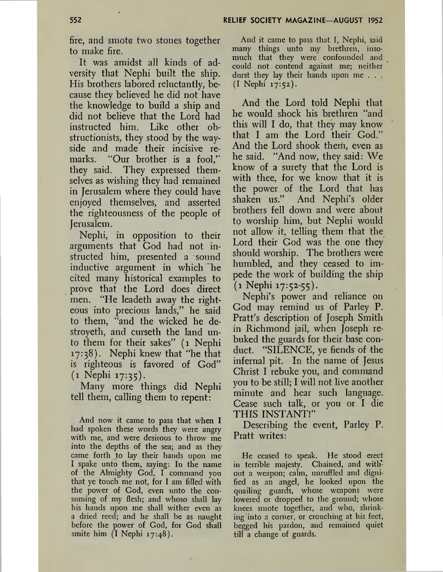fire, and smote two stones together to make fire.

It was amidst all kinds of adversity that Nephi built the ship. His brothers labored reluctantly, because they believed he did not have the knowledge to build a ship and did not believe that the Lord had instructed him. Like other obstructionists, they stood by the wayside and made their incisive remarks. "Our brother is a fool," they said. They expressed themselves as wishing they had remained in Jerusalem where they could have enjoyed themselves, and asserted the righteousness of the people of Jerusalem.

Nephi, in opposition to their arguments that God had not instructed him, presented a sound inductive argument in which he cited many historical examples to prove that the Lord does direct men. "He leadeth away the righteous into precious lands/' he said to them, "and the wicked he destroyeth, and curseth the land unto them for their sakes" (1 Nephi 17:38). Nephi knew that "he that is righteous is favored of God" (1 Nephi 17:35).

Many more things did Nephi tell them, calling them to repent:

And now it came to pass that when **I** had spoken these words they were angry with me, and were desirous to throw me into the depths of the sea; and as they came forth to lay their hands upon me I spake unto them, saying: In the name of the Almighty God, I command you that ye touch me not, for I am filled with the power of God, even unto the consuming of my flesh; and whoso shall lay his hands upon me shall wither even as a dried reed; and he shall be as naught before the power of God, for God shall smite him  $(I \text{ Nephi } 17:48)$ .

And it came to pass that I, Nephi, said many things unto my brethren, insomuch that they were confounded and could not contend against me; neither durst they lay their hands upon me . . . (I Nephi 17:52).

And the Lord told Nephi that he would shock his brethren "and this will I do, that they may know that I am the Lord their God And the Lord shook them, even as he said. "And now, they said: We know of a surety that the Lord is with thee, for we know that it is the power of the Lord that has shaken us." And Nephi'<sup>s</sup> older brothers fell down and were about to worship him, but Nephi would not allow it, telling them that the Lord their God was the one they should worship. The brothers were humbled, and they ceased to impede the work of building the ship (1 Nephi 17:52-55).

Nephi's power and reliance on God may remind us of Parley P. Pratt's description of Joseph Smith in Richmond jail, when Joseph rebuked the guards for their base conduct. "SILENCE, ye fiends of the infernal pit. In the name of Jesus Christ I rebuke you, and command you to be still; I will not live another minute and hear such language. Cease such talk, or you or I die THIS INSTANT!"

Describing the event, Parley P. Pratt writes:

He ceased to speak. He stood erect in terrible majesty. Chained, and without a weapon; calm, unruffled and dignified as an angel, he looked upon the quailing guards, whose weapons were lowered or dropped to the ground; whose knees smote together, and who, shrinking into a corner, or crouching at his feet, begged his pardon, and remained quiet till a change of guards.